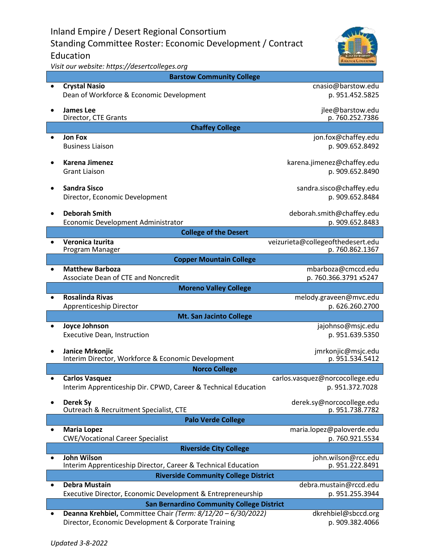Inland Empire / Desert Regional Consortium Standing Committee Roster: Economic Development / Contract Education



*Visit our website: https://desertcolleges.org*

|                                                  | <b>Barstow Community College</b>                                                    |                                                      |  |
|--------------------------------------------------|-------------------------------------------------------------------------------------|------------------------------------------------------|--|
|                                                  | <b>Crystal Nasio</b><br>Dean of Workforce & Economic Development                    | cnasio@barstow.edu<br>p. 951.452.5825                |  |
|                                                  | <b>James Lee</b><br>Director, CTE Grants                                            | jlee@barstow.edu<br>p. 760.252.7386                  |  |
| <b>Chaffey College</b>                           |                                                                                     |                                                      |  |
|                                                  | <b>Jon Fox</b><br><b>Business Liaison</b>                                           | jon.fox@chaffey.edu<br>p. 909.652.8492               |  |
|                                                  | <b>Karena Jimenez</b><br><b>Grant Liaison</b>                                       | karena.jimenez@chaffey.edu<br>p. 909.652.8490        |  |
|                                                  | <b>Sandra Sisco</b><br>Director, Economic Development                               | sandra.sisco@chaffey.edu<br>p. 909.652.8484          |  |
|                                                  | <b>Deborah Smith</b><br>Economic Development Administrator                          | deborah.smith@chaffey.edu<br>p. 909.652.8483         |  |
| <b>College of the Desert</b>                     |                                                                                     |                                                      |  |
|                                                  | Veronica Izurita<br>Program Manager                                                 | veizurieta@collegeofthedesert.edu<br>p. 760.862.1367 |  |
| <b>Copper Mountain College</b>                   |                                                                                     |                                                      |  |
| $\bullet$                                        | <b>Matthew Barboza</b><br>Associate Dean of CTE and Noncredit                       | mbarboza@cmccd.edu<br>p. 760.366.3791 x5247          |  |
| <b>Moreno Valley College</b>                     |                                                                                     |                                                      |  |
|                                                  | Rosalinda Rivas                                                                     | melody.graveen@mvc.edu                               |  |
|                                                  | Apprenticeship Director                                                             | p. 626.260.2700                                      |  |
| <b>Mt. San Jacinto College</b>                   |                                                                                     |                                                      |  |
| $\bullet$                                        | <b>Joyce Johnson</b><br>Executive Dean, Instruction                                 | jajohnso@msjc.edu<br>p. 951.639.5350                 |  |
|                                                  | Janice Mrkonjic<br>Interim Director, Workforce & Economic Development               | jmrkonjic@msjc.edu<br>p. 951.534.5412                |  |
| <b>Norco College</b>                             |                                                                                     |                                                      |  |
| $\bullet$                                        | <b>Carlos Vasquez</b>                                                               | carlos.vasquez@norcocollege.edu                      |  |
|                                                  | Interim Apprenticeship Dir. CPWD, Career & Technical Education                      | p. 951.372.7028                                      |  |
|                                                  | Derek Sy<br>Outreach & Recruitment Specialist, CTE                                  | derek.sy@norcocollege.edu<br>p. 951.738.7782         |  |
| <b>Palo Verde College</b>                        |                                                                                     |                                                      |  |
|                                                  | <b>Maria Lopez</b><br><b>CWE/Vocational Career Specialist</b>                       | maria.lopez@paloverde.edu<br>p. 760.921.5534         |  |
| <b>Riverside City College</b>                    |                                                                                     |                                                      |  |
|                                                  | <b>John Wilson</b><br>Interim Apprenticeship Director, Career & Technical Education | john.wilson@rcc.edu<br>p. 951.222.8491               |  |
| <b>Riverside Community College District</b>      |                                                                                     |                                                      |  |
| $\bullet$                                        | <b>Debra Mustain</b>                                                                | debra.mustain@rccd.edu                               |  |
|                                                  | Executive Director, Economic Development & Entrepreneurship                         | p. 951.255.3944                                      |  |
| <b>San Bernardino Community College District</b> |                                                                                     |                                                      |  |
|                                                  | Deanna Krehbiel, Committee Chair (Term: 8/12/20 - 6/30/2022)                        | dkrehbiel@sbccd.org                                  |  |
|                                                  | Director, Economic Development & Corporate Training                                 | p. 909.382.4066                                      |  |